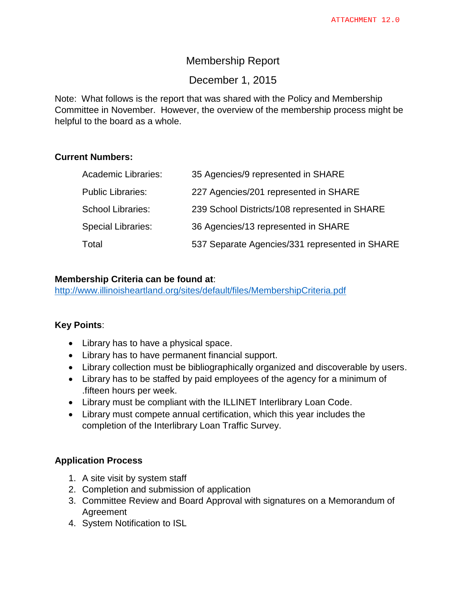# Membership Report

# December 1, 2015

Note: What follows is the report that was shared with the Policy and Membership Committee in November. However, the overview of the membership process might be helpful to the board as a whole.

### **Current Numbers:**

| <b>Academic Libraries:</b> | 35 Agencies/9 represented in SHARE             |
|----------------------------|------------------------------------------------|
| <b>Public Libraries:</b>   | 227 Agencies/201 represented in SHARE          |
| <b>School Libraries:</b>   | 239 School Districts/108 represented in SHARE  |
| <b>Special Libraries:</b>  | 36 Agencies/13 represented in SHARE            |
| Total                      | 537 Separate Agencies/331 represented in SHARE |

### **Membership Criteria can be found at**:

<http://www.illinoisheartland.org/sites/default/files/MembershipCriteria.pdf>

## **Key Points**:

- Library has to have a physical space.
- Library has to have permanent financial support.
- Library collection must be bibliographically organized and discoverable by users.
- Library has to be staffed by paid employees of the agency for a minimum of .fifteen hours per week.
- Library must be compliant with the ILLINET Interlibrary Loan Code.
- Library must compete annual certification, which this year includes the completion of the Interlibrary Loan Traffic Survey.

#### **Application Process**

- 1. A site visit by system staff
- 2. Completion and submission of application
- 3. Committee Review and Board Approval with signatures on a Memorandum of Agreement
- 4. System Notification to ISL